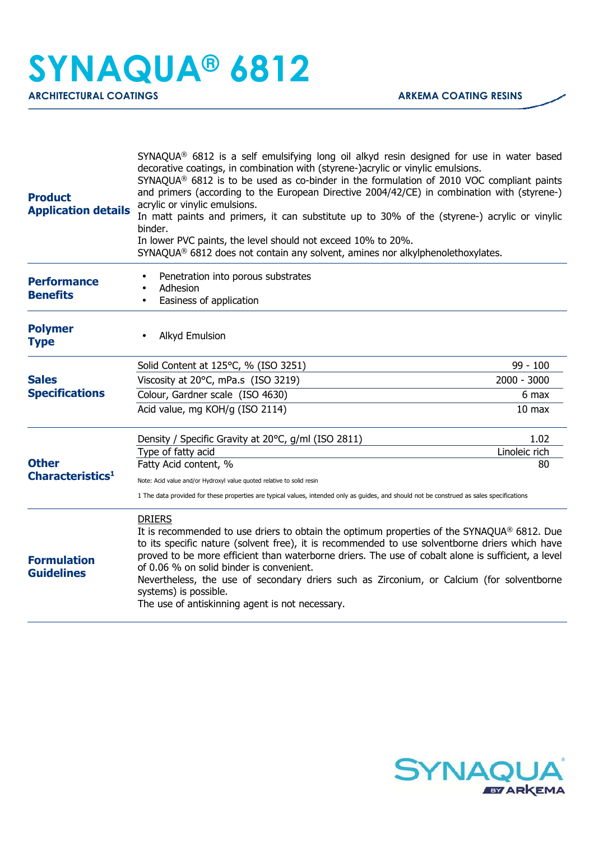| Penetration into porous substrates<br><b>Performance</b><br>Adhesion<br><b>Benefits</b><br>Easiness of application<br><b>Polymer</b><br>Alkyd Emulsion<br><b>Type</b><br>Solid Content at 125°C, % (ISO 3251)<br><b>Sales</b><br>Viscosity at 20°C, mPa.s (ISO 3219)<br><b>Specifications</b><br>Colour, Gardner scale (ISO 4630)<br>Acid value, mg KOH/g (ISO 2114)<br>Density / Specific Gravity at 20°C, g/ml (ISO 2811)<br>Type of fatty acid<br><b>Other</b><br>Fatty Acid content, %<br>Characteristics <sup>1</sup><br>Note: Acid value and/or Hydroxyl value quoted relative to solid resin<br>1 The data provided for these properties are typical values, intended only as guides, and should not be construed as sales specifications<br><b>DRIERS</b> |                   |
|-------------------------------------------------------------------------------------------------------------------------------------------------------------------------------------------------------------------------------------------------------------------------------------------------------------------------------------------------------------------------------------------------------------------------------------------------------------------------------------------------------------------------------------------------------------------------------------------------------------------------------------------------------------------------------------------------------------------------------------------------------------------|-------------------|
|                                                                                                                                                                                                                                                                                                                                                                                                                                                                                                                                                                                                                                                                                                                                                                   |                   |
|                                                                                                                                                                                                                                                                                                                                                                                                                                                                                                                                                                                                                                                                                                                                                                   |                   |
|                                                                                                                                                                                                                                                                                                                                                                                                                                                                                                                                                                                                                                                                                                                                                                   | $99 - 100$        |
|                                                                                                                                                                                                                                                                                                                                                                                                                                                                                                                                                                                                                                                                                                                                                                   | $2000 - 3000$     |
|                                                                                                                                                                                                                                                                                                                                                                                                                                                                                                                                                                                                                                                                                                                                                                   | 6 max             |
|                                                                                                                                                                                                                                                                                                                                                                                                                                                                                                                                                                                                                                                                                                                                                                   | 10 <sub>max</sub> |
|                                                                                                                                                                                                                                                                                                                                                                                                                                                                                                                                                                                                                                                                                                                                                                   | 1.02              |
|                                                                                                                                                                                                                                                                                                                                                                                                                                                                                                                                                                                                                                                                                                                                                                   | Linoleic rich     |
|                                                                                                                                                                                                                                                                                                                                                                                                                                                                                                                                                                                                                                                                                                                                                                   | 80                |
|                                                                                                                                                                                                                                                                                                                                                                                                                                                                                                                                                                                                                                                                                                                                                                   |                   |
|                                                                                                                                                                                                                                                                                                                                                                                                                                                                                                                                                                                                                                                                                                                                                                   |                   |
| It is recommended to use driers to obtain the optimum properties of the SYNAQUA® 6812. Due<br>to its specific nature (solvent free), it is recommended to use solventborne driers which have<br>proved to be more efficient than waterborne driers. The use of cobalt alone is sufficient, a level<br><b>Formulation</b><br>of 0.06 % on solid binder is convenient.<br><b>Guidelines</b><br>Nevertheless, the use of secondary driers such as Zirconium, or Calcium (for solventborne<br>systems) is possible.<br>The use of antiskinning agent is not necessary.                                                                                                                                                                                                |                   |